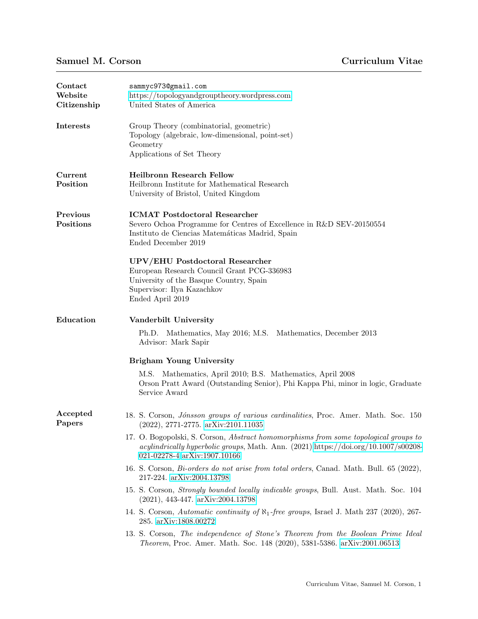| Contact<br>Website<br>Citizenship | sammyc973@gmail.com<br>https://topologyandgrouptheory.wordpress.com<br>United States of America<br>Group Theory (combinatorial, geometric)<br>Topology (algebraic, low-dimensional, point-set)<br>Geometry<br>Applications of Set Theory |  |  |  |  |
|-----------------------------------|------------------------------------------------------------------------------------------------------------------------------------------------------------------------------------------------------------------------------------------|--|--|--|--|
| <b>Interests</b>                  |                                                                                                                                                                                                                                          |  |  |  |  |
| Current<br>Position               | <b>Heilbronn Research Fellow</b><br>Heilbronn Institute for Mathematical Research<br>University of Bristol, United Kingdom                                                                                                               |  |  |  |  |
| Previous<br>Positions             | <b>ICMAT</b> Postdoctoral Researcher<br>Severo Ochoa Programme for Centres of Excellence in R&D SEV-20150554<br>Instituto de Ciencias Matemáticas Madrid, Spain<br>Ended December 2019                                                   |  |  |  |  |
|                                   | UPV/EHU Postdoctoral Researcher<br>European Research Council Grant PCG-336983<br>University of the Basque Country, Spain<br>Supervisor: Ilya Kazachkov<br>Ended April 2019                                                               |  |  |  |  |
| Education                         | Vanderbilt University                                                                                                                                                                                                                    |  |  |  |  |
|                                   | Ph.D. Mathematics, May 2016; M.S. Mathematics, December 2013<br>Advisor: Mark Sapir                                                                                                                                                      |  |  |  |  |
|                                   | Brigham Young University                                                                                                                                                                                                                 |  |  |  |  |
|                                   | M.S. Mathematics, April 2010; B.S. Mathematics, April 2008<br>Orson Pratt Award (Outstanding Senior), Phi Kappa Phi, minor in logic, Graduate<br>Service Award                                                                           |  |  |  |  |
| Accepted<br>Papers                | 18. S. Corson, <i>Jónsson groups of various cardinalities</i> , Proc. Amer. Math. Soc. 150<br>$(2022), 2771-2775.$ arXiv:2101.11035                                                                                                      |  |  |  |  |
|                                   | 17. O. Bogopolski, S. Corson, Abstract homomorphisms from some topological groups to<br>acylindrically hyperbolic groups, Math. Ann. (2021) https://doi.org/10.1007/s00208-<br>021-02278-4 arXiv:1907.10166                              |  |  |  |  |
|                                   | 16. S. Corson, <i>Bi-orders do not arise from total orders</i> , Canad. Math. Bull. 65 (2022),<br>217-224. arXiv:2004.13798                                                                                                              |  |  |  |  |
|                                   | 15. S. Corson, <i>Strongly bounded locally indicable groups</i> , Bull. Aust. Math. Soc. 104<br>$(2021), 443-447.$ arXiv:2004.13798                                                                                                      |  |  |  |  |
|                                   | 14. S. Corson, Automatic continuity of $\aleph_1$ -free groups, Israel J. Math 237 (2020), 267-<br>285. arXiv:1808.00272                                                                                                                 |  |  |  |  |
|                                   | 13. S. Corson, The independence of Stone's Theorem from the Boolean Prime Ideal<br><i>Theorem</i> , Proc. Amer. Math. Soc. 148 (2020), 5381-5386. arXiv:2001.06513                                                                       |  |  |  |  |
|                                   |                                                                                                                                                                                                                                          |  |  |  |  |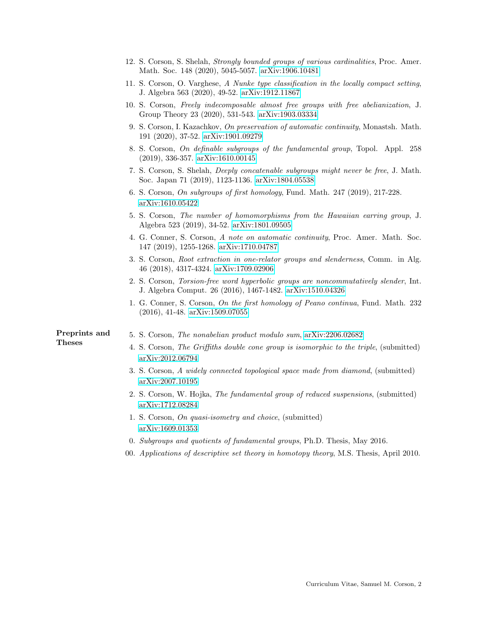|               | 12. S. Corson, S. Shelah, Strongly bounded groups of various cardinalities, Proc. Amer.<br>Math. Soc. 148 (2020), 5045-5057. arXiv:1906.10481     |
|---------------|---------------------------------------------------------------------------------------------------------------------------------------------------|
|               | 11. S. Corson, O. Varghese, A Nunke type classification in the locally compact setting,<br>J. Algebra 563 (2020), 49-52. arXiv:1912.11867         |
|               | 10. S. Corson, Freely indecomposable almost free groups with free abelianization, J.<br>Group Theory 23 (2020), 531-543. arXiv:1903.03334         |
|               | 9. S. Corson, I. Kazachkov, On preservation of automatic continuity, Monastsh. Math.<br>191 (2020), 37-52. arXiv:1901.09279                       |
|               | 8. S. Corson, On definable subgroups of the fundamental group, Topol. Appl. 258<br>$(2019), 336-357.$ arXiv:1610.00145                            |
|               | 7. S. Corson, S. Shelah, Deeply concatenable subgroups might never be free, J. Math.<br>Soc. Japan 71 (2019), 1123-1136. arXiv:1804.05538         |
|               | 6. S. Corson, On subgroups of first homology, Fund. Math. 247 (2019), 217-228.<br>arXiv:1610.05422                                                |
|               | 5. S. Corson, The number of homomorphisms from the Hawaiian earring group, J.<br>Algebra 523 (2019), 34-52. arXiv:1801.09505                      |
|               | 4. G. Conner, S. Corson, A note on automatic continuity, Proc. Amer. Math. Soc.<br>147 (2019), 1255-1268. arXiv:1710.04787                        |
|               | 3. S. Corson, Root extraction in one-relator groups and slenderness, Comm. in Alg.<br>46 (2018), 4317-4324. arXiv:1709.02906                      |
|               | 2. S. Corson, Torsion-free word hyperbolic groups are noncommutatively slender, Int.<br>J. Algebra Comput. 26 (2016), 1467-1482. arXiv:1510.04326 |
|               | 1. G. Conner, S. Corson, On the first homology of Peano continua, Fund. Math. 232<br>$(2016), 41-48.$ arXiv:1509.07055                            |
| Preprints and | 5. S. Corson, The nonabelian product modulo sum, arXiv:2206.02682                                                                                 |
| <b>Theses</b> | 4. S. Corson, The Griffiths double cone group is isomorphic to the triple, (submitted)<br>arXiv:2012.06794                                        |
|               | 3. S. Corson, A widely connected topological space made from diamond, (submitted)<br>arXiv:2007.10195                                             |
|               | 2. S. Corson, W. Hojka, The fundamental group of reduced suspensions, (submitted)<br>arXiv:1712.08284                                             |
|               | 1. S. Corson, On quasi-isometry and choice, (submitted)<br>arXiv:1609.01353                                                                       |
|               | 0. Subgroups and quotients of fundamental groups, Ph.D. Thesis, May 2016.                                                                         |
|               |                                                                                                                                                   |

00. Applications of descriptive set theory in homotopy theory, M.S. Thesis, April 2010.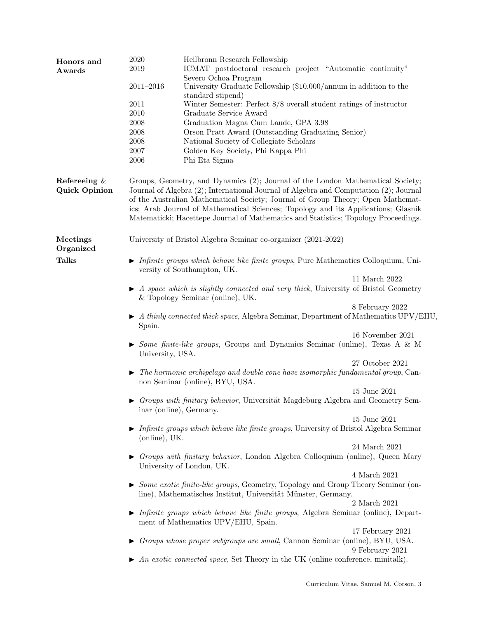| Honors and           | 2020                                                                                                                                                                     | Heilbronn Research Fellowship                                                                                                      |  |  |  |  |  |
|----------------------|--------------------------------------------------------------------------------------------------------------------------------------------------------------------------|------------------------------------------------------------------------------------------------------------------------------------|--|--|--|--|--|
| Awards               | 2019                                                                                                                                                                     | ICMAT postdoctoral research project "Automatic continuity"                                                                         |  |  |  |  |  |
|                      |                                                                                                                                                                          | Severo Ochoa Program                                                                                                               |  |  |  |  |  |
|                      | $2011 - 2016$                                                                                                                                                            | University Graduate Fellowship (\$10,000/annum in addition to the                                                                  |  |  |  |  |  |
|                      |                                                                                                                                                                          | standard stipend)                                                                                                                  |  |  |  |  |  |
|                      | 2011                                                                                                                                                                     | Winter Semester: Perfect $8/8$ overall student ratings of instructor                                                               |  |  |  |  |  |
|                      | 2010                                                                                                                                                                     | Graduate Service Award                                                                                                             |  |  |  |  |  |
|                      | 2008                                                                                                                                                                     | Graduation Magna Cum Laude, GPA 3.98                                                                                               |  |  |  |  |  |
|                      | 2008                                                                                                                                                                     | Orson Pratt Award (Outstanding Graduating Senior)                                                                                  |  |  |  |  |  |
|                      | 2008                                                                                                                                                                     | National Society of Collegiate Scholars                                                                                            |  |  |  |  |  |
|                      | $2007\,$                                                                                                                                                                 | Golden Key Society, Phi Kappa Phi                                                                                                  |  |  |  |  |  |
|                      | $\,2006$                                                                                                                                                                 | Phi Eta Sigma                                                                                                                      |  |  |  |  |  |
|                      |                                                                                                                                                                          |                                                                                                                                    |  |  |  |  |  |
| Referening $\&$      | Groups, Geometry, and Dynamics (2); Journal of the London Mathematical Society;                                                                                          |                                                                                                                                    |  |  |  |  |  |
| <b>Quick Opinion</b> | Journal of Algebra (2); International Journal of Algebra and Computation (2); Journal<br>of the Australian Mathematical Society; Journal of Group Theory; Open Mathemat- |                                                                                                                                    |  |  |  |  |  |
|                      |                                                                                                                                                                          |                                                                                                                                    |  |  |  |  |  |
|                      |                                                                                                                                                                          | ics; Arab Journal of Mathematical Sciences; Topology and its Applications; Glasnik                                                 |  |  |  |  |  |
|                      | Matematicki; Hacettepe Journal of Mathematics and Statistics; Topology Proceedings.                                                                                      |                                                                                                                                    |  |  |  |  |  |
| Meetings             |                                                                                                                                                                          | University of Bristol Algebra Seminar co-organizer (2021-2022)                                                                     |  |  |  |  |  |
| Organized            |                                                                                                                                                                          |                                                                                                                                    |  |  |  |  |  |
| <b>Talks</b>         |                                                                                                                                                                          |                                                                                                                                    |  |  |  |  |  |
|                      |                                                                                                                                                                          | $\triangleright$ Infinite groups which behave like finite groups, Pure Mathematics Colloquium, Uni-<br>versity of Southampton, UK. |  |  |  |  |  |
|                      |                                                                                                                                                                          | 11 March 2022                                                                                                                      |  |  |  |  |  |
|                      | $\blacktriangleright$ A space which is slightly connected and very thick, University of Bristol Geometry                                                                 |                                                                                                                                    |  |  |  |  |  |
|                      | & Topology Seminar (online), UK.                                                                                                                                         |                                                                                                                                    |  |  |  |  |  |
|                      |                                                                                                                                                                          | 8 February 2022                                                                                                                    |  |  |  |  |  |
|                      | $\blacktriangleright$ A thinly connected thick space, Algebra Seminar, Department of Mathematics UPV/EHU,                                                                |                                                                                                                                    |  |  |  |  |  |
|                      | Spain.                                                                                                                                                                   |                                                                                                                                    |  |  |  |  |  |
|                      |                                                                                                                                                                          | 16 November 2021                                                                                                                   |  |  |  |  |  |
|                      |                                                                                                                                                                          | Some finite-like groups, Groups and Dynamics Seminar (online), Texas A & M                                                         |  |  |  |  |  |
|                      | University, USA.                                                                                                                                                         |                                                                                                                                    |  |  |  |  |  |
|                      |                                                                                                                                                                          | 27 October 2021                                                                                                                    |  |  |  |  |  |
|                      |                                                                                                                                                                          | $\triangleright$ The harmonic archipelago and double cone have isomorphic fundamental group, Can-                                  |  |  |  |  |  |
|                      |                                                                                                                                                                          | non Seminar (online), BYU, USA.                                                                                                    |  |  |  |  |  |
|                      |                                                                                                                                                                          | 15 June 2021                                                                                                                       |  |  |  |  |  |
|                      |                                                                                                                                                                          | $\triangleright$ Groups with finitary behavior, Universität Magdeburg Algebra and Geometry Sem-                                    |  |  |  |  |  |
|                      | inar (online), Germany.                                                                                                                                                  |                                                                                                                                    |  |  |  |  |  |
|                      |                                                                                                                                                                          | 15 June 2021                                                                                                                       |  |  |  |  |  |
|                      |                                                                                                                                                                          | $\triangleright$ Infinite groups which behave like finite groups, University of Bristol Algebra Seminar                            |  |  |  |  |  |
|                      | (online), UK.                                                                                                                                                            |                                                                                                                                    |  |  |  |  |  |
|                      |                                                                                                                                                                          | 24 March 2021                                                                                                                      |  |  |  |  |  |
|                      |                                                                                                                                                                          | Groups with finitary behavior, London Algebra Colloquium (online), Queen Mary                                                      |  |  |  |  |  |
|                      |                                                                                                                                                                          | University of London, UK.                                                                                                          |  |  |  |  |  |
|                      |                                                                                                                                                                          | $4$ March $2021$                                                                                                                   |  |  |  |  |  |
|                      | $\triangleright$ <i>Some exotic finite-like groups</i> , Geometry, Topology and Group Theory Seminar (on-                                                                |                                                                                                                                    |  |  |  |  |  |
|                      | line), Mathematisches Institut, Universität Münster, Germany.                                                                                                            |                                                                                                                                    |  |  |  |  |  |
|                      |                                                                                                                                                                          | 2 March 2021                                                                                                                       |  |  |  |  |  |
|                      |                                                                                                                                                                          | $\blacktriangleright$ Infinite groups which behave like finite groups, Algebra Seminar (online), Depart-                           |  |  |  |  |  |
|                      |                                                                                                                                                                          | ment of Mathematics UPV/EHU, Spain.                                                                                                |  |  |  |  |  |
|                      |                                                                                                                                                                          | 17 February 2021                                                                                                                   |  |  |  |  |  |
|                      |                                                                                                                                                                          | $\triangleright$ Groups whose proper subgroups are small, Cannon Seminar (online), BYU, USA.                                       |  |  |  |  |  |
|                      |                                                                                                                                                                          | 9 February 2021                                                                                                                    |  |  |  |  |  |
|                      |                                                                                                                                                                          | $\blacktriangleright$ An exotic connected space, Set Theory in the UK (online conference, minitally).                              |  |  |  |  |  |
|                      |                                                                                                                                                                          |                                                                                                                                    |  |  |  |  |  |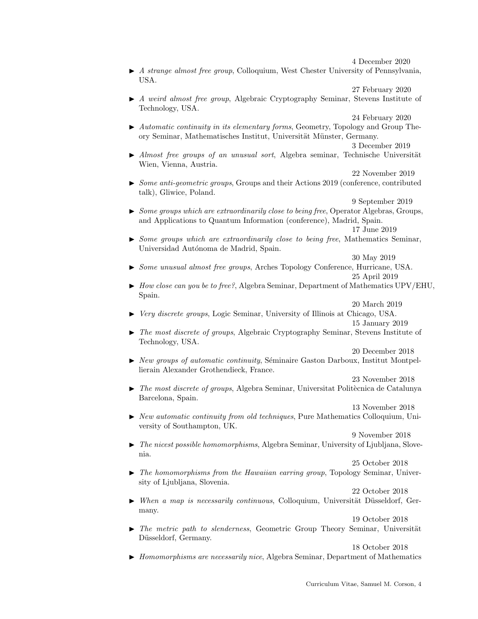4 December 2020

 $\blacktriangleright$  A strange almost free group, Colloquium, West Chester University of Pennsylvania. USA.

27 February 2020

 $\blacktriangleright$  A weird almost free group, Algebraic Cryptography Seminar, Stevens Institute of Technology, USA.

24 February 2020

 $\blacktriangleright$  Automatic continuity in its elementary forms, Geometry, Topology and Group Theory Seminar, Mathematisches Institut, Universität Münster, Germany.

3 December 2019

 $\blacktriangleright$  Almost free groups of an unusual sort, Algebra seminar, Technische Universität Wien, Vienna, Austria.

22 November 2019

 $\triangleright$  Some anti-geometric groups, Groups and their Actions 2019 (conference, contributed talk), Gliwice, Poland.

9 September 2019

 $\triangleright$  Some groups which are extraordinarily close to being free, Operator Algebras, Groups, and Applications to Quantum Information (conference), Madrid, Spain. 17 June 2019

 $\triangleright$  Some groups which are extraordinarily close to being free, Mathematics Seminar, Universidad Autónoma de Madrid, Spain.

30 May 2019

- In Some unusual almost free groups, Arches Topology Conference, Hurricane, USA. 25 April 2019
- $\blacktriangleright$  How close can you be to free?, Algebra Seminar, Department of Mathematics UPV/EHU, Spain.

20 March 2019

- Interval Very discrete groups, Logic Seminar, University of Illinois at Chicago, USA. 15 January 2019
- In The most discrete of groups, Algebraic Cryptography Seminar, Stevens Institute of Technology, USA.

20 December 2018

 $\triangleright$  New groups of automatic continuity, Séminaire Gaston Darboux, Institut Montpellierain Alexander Grothendieck, France.

23 November 2018

- $\triangleright$  The most discrete of groups, Algebra Seminar, Universitat Politècnica de Catalunya Barcelona, Spain.
- $\triangleright$  New automatic continuity from old techniques, Pure Mathematics Colloquium, University of Southampton, UK.

9 November 2018

13 November 2018

 $\blacktriangleright$  The nicest possible homomorphisms, Algebra Seminar, University of Ljubljana, Slovenia.

25 October 2018

 $\blacktriangleright$  The homomorphisms from the Hawaiian earring group, Topology Seminar, University of Ljubljana, Slovenia.

22 October 2018

 $\blacktriangleright$  When a map is necessarily continuous, Colloquium, Universität Düsseldorf, Germany.

19 October 2018

 $\blacktriangleright$  The metric path to slenderness, Geometric Group Theory Seminar, Universität Düsseldorf, Germany.

18 October 2018

 $\blacktriangleright$  Homomorphisms are necessarily nice, Algebra Seminar, Department of Mathematics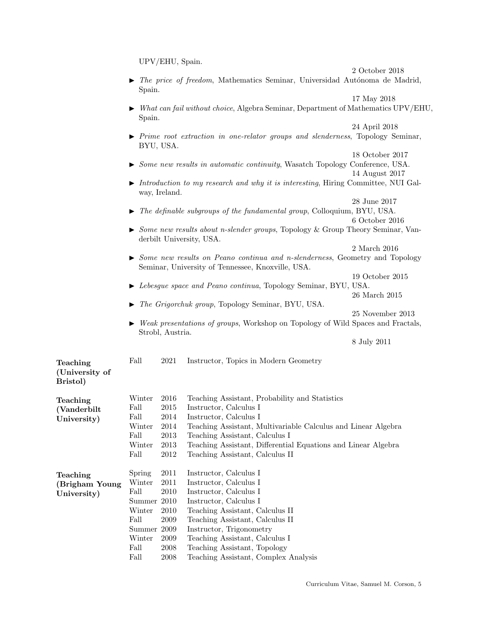|                                        |                                                                                                                                                   | UPV/EHU, Spain.  |                                                                                                  |                  |  |  |
|----------------------------------------|---------------------------------------------------------------------------------------------------------------------------------------------------|------------------|--------------------------------------------------------------------------------------------------|------------------|--|--|
|                                        |                                                                                                                                                   |                  |                                                                                                  | 2 October 2018   |  |  |
|                                        | Spain.                                                                                                                                            |                  | $\blacktriangleright$ The price of freedom, Mathematics Seminar, Universidad Autónoma de Madrid, |                  |  |  |
|                                        | 17 May 2018<br>What can fail without choice, Algebra Seminar, Department of Mathematics UPV/EHU,                                                  |                  |                                                                                                  |                  |  |  |
|                                        | Spain.                                                                                                                                            |                  |                                                                                                  |                  |  |  |
|                                        |                                                                                                                                                   | BYU, USA.        | $\triangleright$ Prime root extraction in one-relator groups and slenderness, Topology Seminar,  | 24 April 2018    |  |  |
|                                        |                                                                                                                                                   |                  | Some new results in automatic continuity, Wasatch Topology Conference, USA.                      | 18 October 2017  |  |  |
|                                        | 14 August 2017<br>Introduction to my research and why it is interesting, Hiring Committee, NUI Gal-<br>way, Ireland.                              |                  |                                                                                                  |                  |  |  |
|                                        |                                                                                                                                                   |                  |                                                                                                  | 28 June 2017     |  |  |
|                                        | The definable subgroups of the fundamental group, Colloquium, BYU, USA.<br>6 October 2016                                                         |                  |                                                                                                  |                  |  |  |
|                                        | Some new results about n-slender groups, Topology & Group Theory Seminar, Van-<br>derbilt University, USA.                                        |                  |                                                                                                  |                  |  |  |
|                                        |                                                                                                                                                   |                  |                                                                                                  | 2 March 2016     |  |  |
|                                        | $\triangleright$ Some new results on Peano continua and n-slenderness, Geometry and Topology<br>Seminar, University of Tennessee, Knoxville, USA. |                  |                                                                                                  |                  |  |  |
|                                        |                                                                                                                                                   |                  |                                                                                                  | 19 October 2015  |  |  |
|                                        |                                                                                                                                                   |                  | Lebesgue space and Peano continua, Topology Seminar, BYU, USA.                                   |                  |  |  |
|                                        |                                                                                                                                                   |                  |                                                                                                  | 26 March 2015    |  |  |
|                                        |                                                                                                                                                   |                  | The Grigorchuk group, Topology Seminar, BYU, USA.                                                |                  |  |  |
|                                        |                                                                                                                                                   |                  |                                                                                                  | 25 November 2013 |  |  |
|                                        | Weak presentations of groups, Workshop on Topology of Wild Spaces and Fractals,<br>Strobl, Austria.                                               |                  |                                                                                                  |                  |  |  |
|                                        |                                                                                                                                                   |                  |                                                                                                  |                  |  |  |
|                                        |                                                                                                                                                   |                  |                                                                                                  | 8 July 2011      |  |  |
| Teaching<br>(University of<br>Bristol) | Fall                                                                                                                                              | 2021             | Instructor, Topics in Modern Geometry                                                            |                  |  |  |
| Teaching                               | Winter                                                                                                                                            | 2016             | Teaching Assistant, Probability and Statistics                                                   |                  |  |  |
| (Vanderbilt                            | Fall                                                                                                                                              | 2015             | Instructor, Calculus I                                                                           |                  |  |  |
| University)                            | Fall                                                                                                                                              | 2014             | Instructor, Calculus I                                                                           |                  |  |  |
|                                        | Winter                                                                                                                                            | 2014             | Teaching Assistant, Multivariable Calculus and Linear Algebra                                    |                  |  |  |
|                                        | Fall<br>Winter                                                                                                                                    | 2013             | Teaching Assistant, Calculus I                                                                   |                  |  |  |
|                                        | Fall                                                                                                                                              | 2013<br>$\>2012$ | Teaching Assistant, Differential Equations and Linear Algebra<br>Teaching Assistant, Calculus II |                  |  |  |
|                                        |                                                                                                                                                   |                  |                                                                                                  |                  |  |  |
| Teaching                               | Spring                                                                                                                                            | 2011             | Instructor, Calculus I                                                                           |                  |  |  |
| (Brigham Young                         | Winter                                                                                                                                            | 2011             | Instructor, Calculus I                                                                           |                  |  |  |
| University)                            | Fall                                                                                                                                              | 2010             | Instructor, Calculus I                                                                           |                  |  |  |
|                                        | Summer                                                                                                                                            | 2010             | Instructor, Calculus I                                                                           |                  |  |  |
|                                        | Winter                                                                                                                                            | 2010             | Teaching Assistant, Calculus II                                                                  |                  |  |  |
|                                        | Fall                                                                                                                                              | 2009             | Teaching Assistant, Calculus II                                                                  |                  |  |  |
|                                        | Summer                                                                                                                                            | 2009             | Instructor, Trigonometry                                                                         |                  |  |  |
|                                        | Winter                                                                                                                                            | 2009             | Teaching Assistant, Calculus I                                                                   |                  |  |  |
|                                        | Fall                                                                                                                                              | 2008             | Teaching Assistant, Topology                                                                     |                  |  |  |
|                                        | Fall                                                                                                                                              | 2008             | Teaching Assistant, Complex Analysis                                                             |                  |  |  |